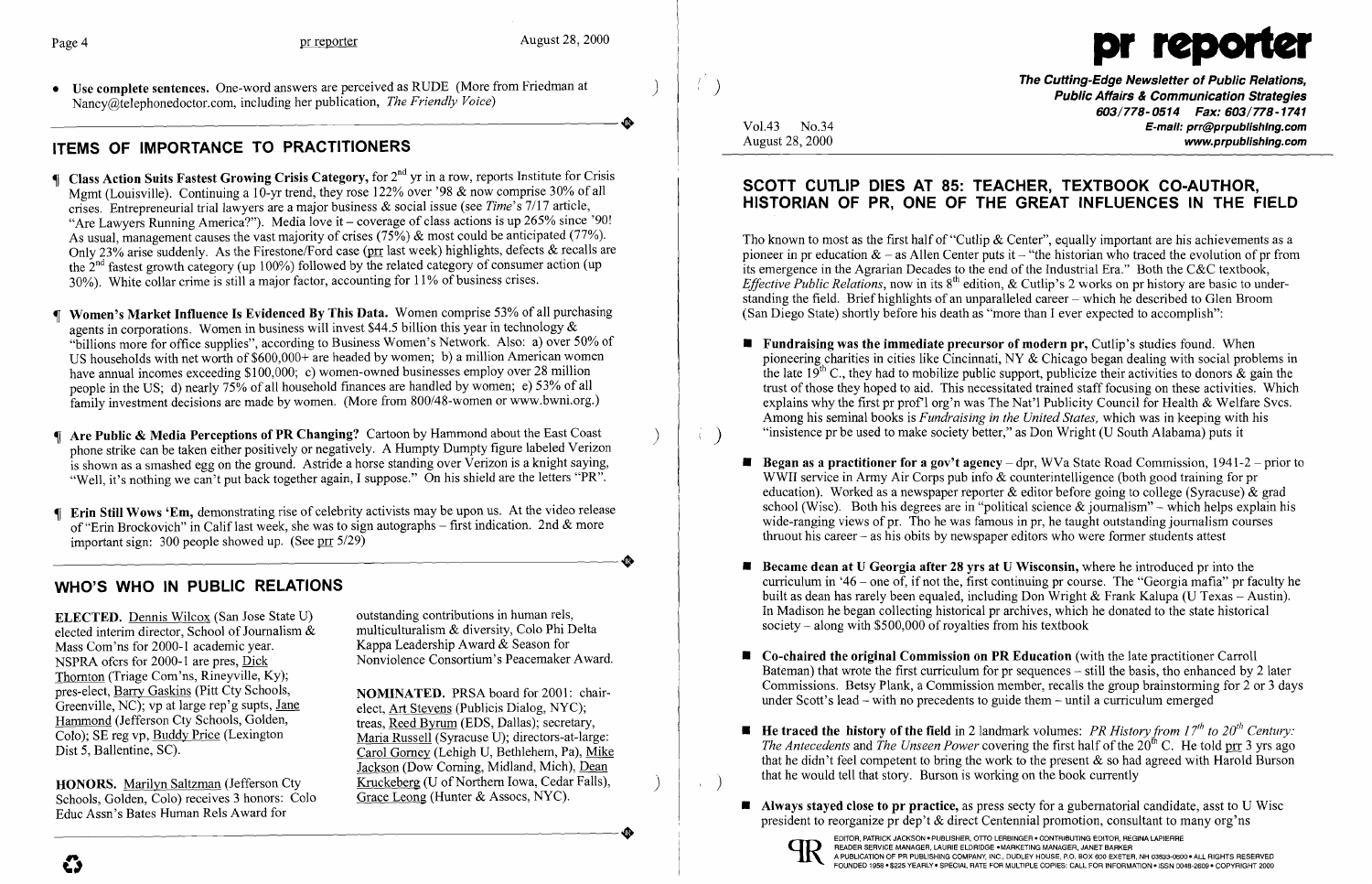

The Cutting-Edge Newsletter of Public Relations,<br>Public Affairs & Communication Strategies 603/778-0514 Fax: 603/778-1741 Vol.43 No.34 **bitter in the control of the control of the control of the control of the control of the control of the control of the control of the control of the control of the control of the control of the control of the** www.prpublishing.com

• Use complete sentences. One-word answers are perceived as RUDE (More from Friedman at )<br>
Nancy@telephonedoctor.com, including her publication, *The Friendly Voice*)<br>  $\bullet$ Nancy@telephonedoctor.com, including her publication, *The Friendly Voice)* 

# ITEMS OF IMPORTANCE TO PRACTITIONERS

- $\P$  Class Action Suits Fastest Growing Crisis Category, for  $2^{nd}$  yr in a row, reports Institute for Crisis Mgmt (Louisville). Continuing a 10-yr trend, they rose 122% over '98  $\&$  now comprise 30% of all crises. Entrepreneurial trial lawyers are a major business & social issue (see *Time's* 7/17 article, "Are Lawyers Running America?"). Media love it – coverage of class actions is up 265% since '90! As usual, management causes the vast majority of crises (75%) & most could be anticipated (77%). Only 23% arise suddenly. As the Firestone/Ford case (prr last week) highlights, defects & recalls are the 2nd fastest growth category (up 100%) followed by the related category of consumer action (up 30%). White collar crime is still a major factor, accounting for 11% of business crises.
- Women's Market Influence Is Evidenced By This Data. Women comprise 53% of all purchasing agents in corporations. Women in business will invest \$44.5 billion this year in technology & "billions more for office supplies", according to Business Women's Network. Also: a) over 50% of US households with net worth of \$600,000+ are headed by women; b) a million American women have annual incomes exceeding \$100,000; c) women-owned businesses employ over 28 million people in the US; d) nearly 75% of all household finances are handled by women; e) 53% of all family investment decisions are made by women. (More from 800/48-women or www.bwni.org.)
- Are Public & Media Perceptions of PR Changing? Cartoon by Hammond about the East Coast ) phone strike can be taken either positively or negatively. A Humpty Dumpty figure labeled Verizon is shown as a smashed egg on the ground. Astride a horse standing over Verizon is a knight saying, "Well, it's nothing we can't put back together again, I suppose." On his shield are the letters "PR".
- **T** Erin Still Wows 'Em, demonstrating rise of celebrity activists may be upon us. At the video release of "Erin Brockovich" in Calif last week, she was to sign autographs – first indication. 2nd & more<br>important sign: 300 people showed up. (See pro  $\frac{5}{29}$ ) important sign: 300 people showed up. (See pr  $5/29$ )

Carol Gorney (Lehigh U, Bethlehem, Pa), Mike Jackson (Dow Coming, Midland, Mich), Dean

Tho known to most as the first half of "Cutlip & Center", equally important are his achievements as a pioneer in pr education  $\&$  - as Allen Center puts it - "the historian who traced the evolution of pr from its emergence in the Agrarian Decades to the end of the Industrial Era." Both the C&C textbook, *Effective Public Relations, now in its* 8<sup>th</sup> edition, & Cutlip's 2 works on pr history are basic to understanding the field. Brief highlights of an unparalleled career - which he described to Glen Broom (San Diego State) shortly before his death as "more than I ever expected to accomplish":

# WHO'S WHO IN PUBLIC RELATIONS

**ELECTED.** Dennis Wilcox (San Jose State U) outstanding contributions in human rels,<br>elected interim director. School of Journalism & multiculturalism & diversity, Colo Phi Delta elected interim director, School of Journalism  $\&$ Mass Com'ns for 2000-1 academic year.<br>
Nappa Leadership Award & Season for<br>
Nonviolence Consortium's Peacemaker Award. NSPRA ofcrs for 2000-1 are pres, Dick Thornton (Triage Com'ns, Rineyville, Ky);<br>pres-elect, Barry Gaskins (Pitt Cty Schools, pres-elect, <u>Barry Gaskins</u> (Pitt Cty Schools,<br>
Greenville, NC); vp at large rep'g supts, <u>Jane</u><br>
elect Art Stevens (Publicis Dialog, NYC); Greenville, NC); vp at large rep'g supts, <u>Jane</u> elect, <u>Art Stevens</u> (Publicis Dialog, NYC); <br>Hammond (Jefferson Cty Schools, Golden, treas Reed Byrum (EDS Dallas); secretary Hammond (Jefferson Cty Schools, Golden, treas, Reed Byrum (EDS, Dallas); secretary, Colo); SE reg vp, Buddy Price (Lexington Maria Russell (Syracuse U); directors-at-large Colo); SE reg vp, Buddy Price (Lexington Maria Russell (Syracuse U); directors-at-large:<br>Dist 5. Ballentine, SC). Carol Gorney (Lehigh U Bethlehem, Pa). Mike

HONORS. Marilyn Saltzman (Jefferson Cty Kruckeberg (U of Northern Iowa, Cedar Falls), Schools. Golden. Colo) receives 3 honors: Colo Grace Leong (Hunter & Assocs, NYC). Schools, Golden, Colo) receives 3 honors: Colo Educ Assn's Bates Human Rels Award for Schools, Golden, Colo) receives 3 honors: Colo Grace Leong (Hunter & Assocs, NYC).<br>Educ Assn's Bates Human Rels Award for

outstanding contributions in human rels, Kappa Leadership Award & Season for

Bateman) that wrote the first curriculum for pr sequences  $-$  still the basis, tho enhanced by 2 later Commissions. Betsy Plank, a Commission member, recalls the group brainstorming for 2 or 3 days

 $\blacksquare$  He traced the history of the field in 2 landmark volumes: *PR History from 17<sup>th</sup> to 20<sup>th</sup> Century: The Antecedents and The Unseen Power covering the first half of the 20<sup>th</sup> C. He told prr 3 yrs ago* that he didn't feel competent to bring the work to the present  $\&$  so had agreed with Harold Burson

- **Fundraising was the immediate precursor of modern pr.** Cutlip's studies found. When Among his seminal books is *Fundraising in the United States,* which was in keeping with his  $\langle \cdot \rangle$  "insistence pr be used to make society better," as Don Wright (U South Alabama) puts it
	- WWII service in Army Air Corps pub info & counterintelligence (both good training for pr thruout his career - as his obits by newspaper editors who were former students attest
	- **Became dean at U Georgia after 28 yrs at U Wisconsin,** where he introduced pr into the In Madison he began collecting historical pr archives, which he donated to the state historical society - along with \$500,000 of royalties from his textbook
	- $\blacksquare$  Co-chaired the original Commission on PR Education (with the late practitioner Carroll under Scott's lead – with no precedents to guide them – until a curriculum emerged
- that he would tell that story. Burson is working on the book currently
	- $\blacksquare$  Always stayed close to pr practice, as press secty for a gubernatorial candidate, asst to U Wisc president to reorganize pr dep't & direct Centennial promotion, consultant to many org'ns



EDITOR, PATRICK JACKSON ● PUBLISHER, OTTO LERBINGER ● CONTRIBUTING EDITOR, REGINA LAPIERRE<br>READER SERVICE MANAGER, LAURIE ELDRIDGE ●MARKETING MANAGER, JANET BARKER<br>A PUBLICATION OF PR PUBLISHING COMPANY, INC., DUDLEY HOUS FOUNDED 1958 - \$225 YEARLY- SPECIALRATEFOR MULTIPLE COPIES:CALLFOR INFORMATION -ISSN 0048-2609 - COPYRIGHT 2000

## SCOTT CUTLIP DIES AT 85: TEACHER, TEXTBOOK CO-AUTHOR, HISTORIAN OF PR, ONE OF THE GREAT INFLUENCES IN THE FIELD

pioneering charities in cities like Cincinnati, NY & Chicago began dealing with social problems in the late  $19^{th}$  C,, they had to mobilize public support, publicize their activities to donors & gain the trust of those they hoped to aid. This necessitated trained staff focusing on these activities. Which explains why the first pr prof'I org'n was The Nat'! Publicity Council for Health & Welfare Svcs.

**• Began as a practitioner for a gov't agency** – dpr, WVa State Road Commission,  $1941-2$  – prior to education). Worked as a newspaper reporter  $\&$  editor before going to college (Syracuse)  $\&$  grad school (Wisc). Both his degrees are in "political science  $\&$  journalism" – which helps explain his wide-ranging views of pr. Tho he was famous in pr, he taught outstanding journalism courses

curriculum in '46 – one of, if not the, first continuing pr course. The "Georgia mafia" pr faculty he built as dean has rarely been equaled, including Don Wright & Frank Kalupa (U Texas - Austin).